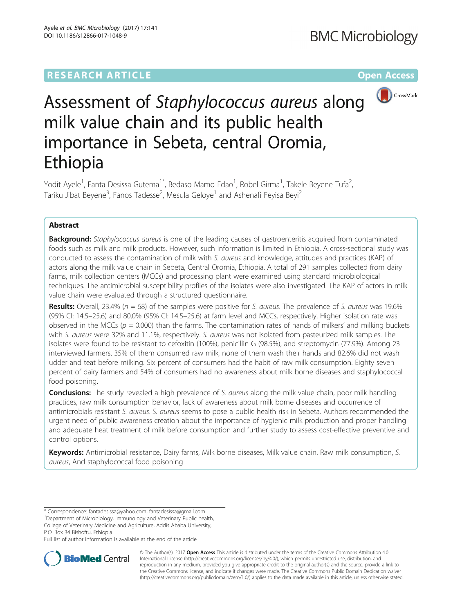# **RESEARCH ARTICLE Example 2014 12:30 The Community Community Community Community Community Community Community**



# Assessment of Staphylococcus aureus along milk value chain and its public health importance in Sebeta, central Oromia, Ethiopia

Yodit Ayele<sup>1</sup>, Fanta Desissa Gutema<sup>1\*</sup>, Bedaso Mamo Edao<sup>1</sup>, Robel Girma<sup>1</sup>, Takele Beyene Tufa<sup>2</sup> , Tariku Jibat Beyene<sup>3</sup>, Fanos Tadesse<sup>2</sup>, Mesula Geloye<sup>1</sup> and Ashenafi Feyisa Beyi<sup>2</sup>

# Abstract

**Background:** Staphylococcus aureus is one of the leading causes of gastroenteritis acquired from contaminated foods such as milk and milk products. However, such information is limited in Ethiopia. A cross-sectional study was conducted to assess the contamination of milk with S. aureus and knowledge, attitudes and practices (KAP) of actors along the milk value chain in Sebeta, Central Oromia, Ethiopia. A total of 291 samples collected from dairy farms, milk collection centers (MCCs) and processing plant were examined using standard microbiological techniques. The antimicrobial susceptibility profiles of the isolates were also investigated. The KAP of actors in milk value chain were evaluated through a structured questionnaire.

**Results:** Overall, 23.4% ( $n = 68$ ) of the samples were positive for S. *aureus*. The prevalence of S. *aureus* was 19.6% (95% CI: 14.5–25.6) and 80.0% (95% CI: 14.5–25.6) at farm level and MCCs, respectively. Higher isolation rate was observed in the MCCs ( $p = 0.000$ ) than the farms. The contamination rates of hands of milkers' and milking buckets with S. aureus were 32% and 11.1%, respectively. S. aureus was not isolated from pasteurized milk samples. The isolates were found to be resistant to cefoxitin (100%), penicillin G (98.5%), and streptomycin (77.9%). Among 23 interviewed farmers, 35% of them consumed raw milk, none of them wash their hands and 82.6% did not wash udder and teat before milking. Six percent of consumers had the habit of raw milk consumption. Eighty seven percent of dairy farmers and 54% of consumers had no awareness about milk borne diseases and staphylococcal food poisoning.

**Conclusions:** The study revealed a high prevalence of S. aureus along the milk value chain, poor milk handling practices, raw milk consumption behavior, lack of awareness about milk borne diseases and occurrence of antimicrobials resistant S. aureus. S. aureus seems to pose a public health risk in Sebeta. Authors recommended the urgent need of public awareness creation about the importance of hygienic milk production and proper handling and adequate heat treatment of milk before consumption and further study to assess cost-effective preventive and control options.

Keywords: Antimicrobial resistance, Dairy farms, Milk borne diseases, Milk value chain, Raw milk consumption, S. aureus, And staphylococcal food poisoning

\* Correspondence: [fantadesissa@yahoo.com;](mailto:fantadesissa@yahoo.com) [fantadesissa@gmail.com](mailto:fantadesissa@gmail.com) <sup>1</sup>

P.O. Box 34 Bishoftu, Ethiopia

Full list of author information is available at the end of the article



© The Author(s). 2017 **Open Access** This article is distributed under the terms of the Creative Commons Attribution 4.0 International License [\(http://creativecommons.org/licenses/by/4.0/](http://creativecommons.org/licenses/by/4.0/)), which permits unrestricted use, distribution, and reproduction in any medium, provided you give appropriate credit to the original author(s) and the source, provide a link to the Creative Commons license, and indicate if changes were made. The Creative Commons Public Domain Dedication waiver [\(http://creativecommons.org/publicdomain/zero/1.0/](http://creativecommons.org/publicdomain/zero/1.0/)) applies to the data made available in this article, unless otherwise stated.

<sup>&</sup>lt;sup>1</sup>Department of Microbiology, Immunology and Veterinary Public health, College of Veterinary Medicine and Agriculture, Addis Ababa University,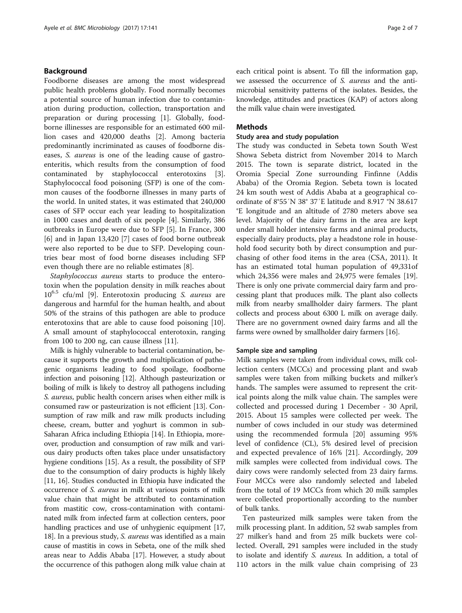# Background

Foodborne diseases are among the most widespread public health problems globally. Food normally becomes a potential source of human infection due to contamination during production, collection, transportation and preparation or during processing [\[1](#page-6-0)]. Globally, foodborne illinesses are responsible for an estimated 600 million cases and 420,000 deaths [[2\]](#page-6-0). Among bacteria predominantly incriminated as causes of foodborne diseases, S. aureus is one of the leading cause of gastroenteritis, which results from the consumption of food contaminated by staphylococcal enterotoxins [\[3](#page-6-0)]. Staphylococcal food poisoning (SFP) is one of the common causes of the foodborne illnesses in many parts of the world. In united states, it was estimated that 240,000 cases of SFP occur each year leading to hospitalization in 1000 cases and death of six people [\[4](#page-6-0)]. Similarly, 386 outbreaks in Europe were due to SFP [[5\]](#page-6-0). In France, 300 [[6\]](#page-6-0) and in Japan 13,420 [\[7](#page-6-0)] cases of food borne outbreak were also reported to be due to SFP. Developing countries bear most of food borne diseases including SFP even though there are no reliable estimates [[8\]](#page-6-0).

Staphylococcus aureus starts to produce the enterotoxin when the population density in milk reaches about  $10^{6.5}$  cfu/ml [\[9](#page-6-0)]. Enterotoxin producing S. *aureus* are dangerous and harmful for the human health, and about 50% of the strains of this pathogen are able to produce enterotoxins that are able to cause food poisoning [\[10](#page-6-0)]. A small amount of staphylococcal enterotoxin, ranging from 100 to 200 ng, can cause illness [[11\]](#page-6-0).

Milk is highly vulnerable to bacterial contamination, because it supports the growth and multiplication of pathogenic organisms leading to food spoilage, foodborne infection and poisoning [[12](#page-6-0)]. Although pasteurization or boiling of milk is likely to destroy all pathogens including S. aureus, public health concern arises when either milk is consumed raw or pasteurization is not efficient [\[13\]](#page-6-0). Consumption of raw milk and raw milk products including cheese, cream, butter and yoghurt is common in sub-Saharan Africa including Ethiopia [\[14](#page-6-0)]. In Ethiopia, moreover, production and consumption of raw milk and various dairy products often takes place under unsatisfactory hygiene conditions [[15](#page-6-0)]. As a result, the possibility of SFP due to the consumption of dairy products is highly likely [[11](#page-6-0), [16](#page-6-0)]. Studies conducted in Ethiopia have indicated the occurrence of S. aureus in milk at various points of milk value chain that might be attributed to contamination from mastitic cow, cross-contamination with contaminated milk from infected farm at collection centers, poor handling practices and use of unhygienic equipment [[17](#page-6-0), [18](#page-6-0)]. In a previous study, S. *aureus* was identified as a main cause of mastitis in cows in Sebeta, one of the milk shed areas near to Addis Ababa [\[17\]](#page-6-0). However, a study about the occurrence of this pathogen along milk value chain at each critical point is absent. To fill the information gap, we assessed the occurrence of S. aureus and the antimicrobial sensitivity patterns of the isolates. Besides, the knowledge, attitudes and practices (KAP) of actors along the milk value chain were investigated.

# **Methods**

# Study area and study population

The study was conducted in Sebeta town South West Showa Sebeta district from November 2014 to March 2015. The town is separate district, located in the Oromia Special Zone surrounding Finfinne (Addis Ababa) of the Oromia Region. Sebeta town is located 24 km south west of Addis Ababa at a geographical coordinate of 8°55′N 38° 37′E latitude and 8.917 °N 38.617 °E longitude and an altitude of 2780 meters above sea level. Majority of the dairy farms in the area are kept under small holder intensive farms and animal products, especially dairy products, play a headstone role in household food security both by direct consumption and purchasing of other food items in the area (CSA, 2011). It has an estimated total human population of 49,331of which 24,356 were males and 24,975 were females [\[19](#page-6-0)]. There is only one private commercial dairy farm and processing plant that produces milk. The plant also collects milk from nearby smallholder dairy farmers. The plant collects and process about 6300 L milk on average daily. There are no government owned dairy farms and all the farms were owned by smallholder dairy farmers [[16](#page-6-0)].

# Sample size and sampling

Milk samples were taken from individual cows, milk collection centers (MCCs) and processing plant and swab samples were taken from milking buckets and milker's hands. The samples were assumed to represent the critical points along the milk value chain. The samples were collected and processed during 1 December - 30 April, 2015. About 15 samples were collected per week. The number of cows included in our study was determined using the recommended formula [\[20](#page-6-0)] assuming 95% level of confidence (CL), 5% desired level of precision and expected prevalence of 16% [[21](#page-6-0)]. Accordingly, 209 milk samples were collected from individual cows. The dairy cows were randomly selected from 23 dairy farms. Four MCCs were also randomly selected and labeled from the total of 19 MCCs from which 20 milk samples were collected proportionally according to the number of bulk tanks.

Ten pasteurized milk samples were taken from the milk processing plant. In addition, 52 swab samples from 27 milker's hand and from 25 milk buckets were collected. Overall, 291 samples were included in the study to isolate and identify S. aureus. In addition, a total of 110 actors in the milk value chain comprising of 23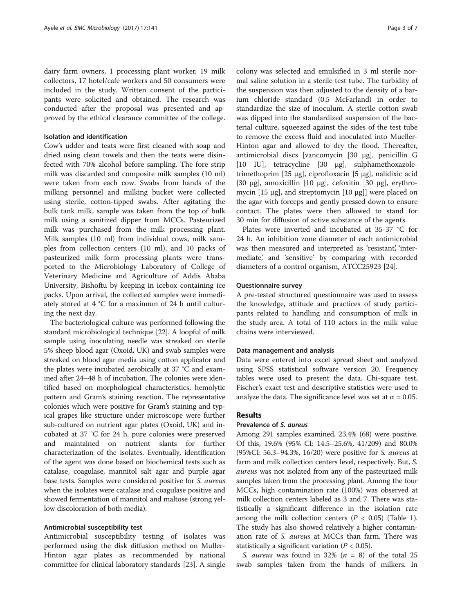dairy farm owners, 1 processing plant worker, 19 milk collectors, 17 hotel/cafe workers and 50 consumers were included in the study. Written consent of the participants were solicited and obtained. The research was conducted after the proposal was presented and approved by the ethical clearance committee of the college.

# Isolation and identification

Cow's udder and teats were first cleaned with soap and dried using clean towels and then the teats were disinfected with 70% alcohol before sampling. The fore strip milk was discarded and composite milk samples (10 ml) were taken from each cow. Swabs from hands of the milking personnel and milking bucket were collected using sterile, cotton-tipped swabs. After agitating the bulk tank milk, sample was taken from the top of bulk milk using a sanitized dipper from MCCs. Pasteurized milk was purchased from the milk processing plant. Milk samples (10 ml) from individual cows, milk samples from collection centers (10 ml), and 10 packs of pasteurized milk form processing plants were transported to the Microbiology Laboratory of College of Veterinary Medicine and Agriculture of Addis Ababa University, Bishoftu by keeping in icebox containing ice packs. Upon arrival, the collected samples were immediately stored at 4 °C for a maximum of 24 h until culturing the next day.

The bacteriological culture was performed following the standard microbiological technique [[22\]](#page-6-0). A loopful of milk sample using inoculating needle was streaked on sterile 5% sheep blood agar (Oxoid, UK) and swab samples were streaked on blood agar media using cotton applicator and the plates were incubated aerobically at 37 °C and examined after 24–48 h of incubation. The colonies were identified based on morphological characteristics, hemolytic pattern and Gram's staining reaction. The representative colonies which were positive for Gram's staining and typical grapes like structure under microscope were further sub-cultured on nutrient agar plates (Oxoid, UK) and incubated at 37 °C for 24 h. pure colonies were preserved and maintained on nutrient slants for further characterization of the isolates. Eventually, identification of the agent was done based on biochemical tests such as catalase, coagulase, mannitol salt agar and purple agar base tests. Samples were considered positive for S. aureus when the isolates were catalase and coagulase positive and showed fermentation of mannitol and maltose (strong yellow discoloration of both media).

# Antimicrobial susceptibility test

Antimicrobial susceptibility testing of isolates was performed using the disk diffusion method on Muller-Hinton agar plates as recommended by national committee for clinical laboratory standards [\[23\]](#page-6-0). A single

colony was selected and emulsified in 3 ml sterile normal saline solution in a sterile test tube. The turbidity of the suspension was then adjusted to the density of a barium chloride standard (0.5 McFarland) in order to standardize the size of inoculum. A sterile cotton swab was dipped into the standardized suspension of the bacterial culture, squeezed against the sides of the test tube to remove the excess fluid and inoculated into Mueller-Hinton agar and allowed to dry the flood. Thereafter, antimicrobial discs [vancomycin [30 μg], penicillin G [10 IU], tetracycline [30 μg], sulphamethoxazoletrimethoprim [25 μg], ciprofloxacin [5 μg], nalidixic acid [30 μg], amoxicillin [10 μg], cefoxitin [30 μg], erythromycin [15 μg], and streptomycin [10 μg]] were placed on the agar with forceps and gently pressed down to ensure contact. The plates were then allowed to stand for 30 min for diffusion of active substance of the agents.

Plates were inverted and incubated at 35-37 °C for 24 h. An inhibition zone diameter of each antimicrobial was then measured and interpreted as 'resistant', 'intermediate,' and 'sensitive' by comparing with recorded diameters of a control organism, ATCC25923 [[24](#page-6-0)].

# Questionnaire survey

A pre-tested structured questionnaire was used to assess the knowledge, attitude and practices of study participants related to handling and consumption of milk in the study area. A total of 110 actors in the milk value chains were interviewed.

# Data management and analysis

Data were entered into excel spread sheet and analyzed using SPSS statistical software version 20. Frequency tables were used to present the data. Chi-square test, Fischer's exact test and descriptive statistics were used to analyze the data. The significance level was set at  $\alpha = 0.05$ .

# Results

# Prevalence of S. aureus

Among 291 samples examined, 23.4% (68) were positive. Of this, 19.6% (95% CI: 14.5–25.6%, 41/209) and 80.0% (95%CI: 56.3–94.3%, 16/20) were positive for S. aureus at farm and milk collection centers level, respectively. But, S. aureus was not isolated from any of the pasteurized milk samples taken from the processing plant. Among the four MCCs, high contamination rate (100%) was observed at milk collection centers labeled as 3 and 7. There was statistically a significant difference in the isolation rate among the milk collection centers ( $P < 0.05$ ) (Table [1](#page-3-0)). The study has also showed relatively a higher contamination rate of *S. aureus* at MCCs than farm. There was statistically a significant variation ( $P < 0.05$ ).

S. *aureus* was found in 32% ( $n = 8$ ) of the total 25 swab samples taken from the hands of milkers. In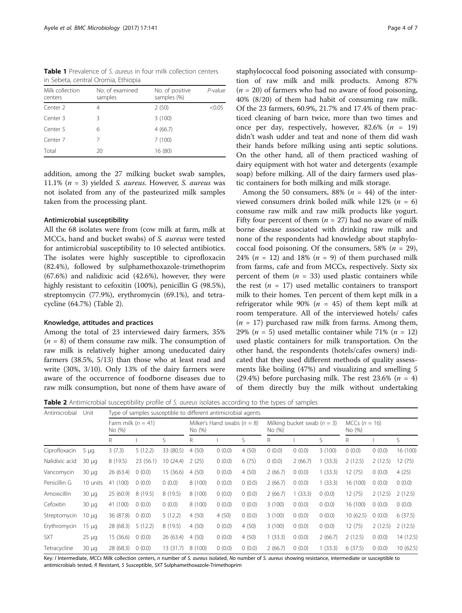<span id="page-3-0"></span>Table 1 Prevalence of S. aureus in four milk collection centers in Sebeta, central Oromia, Ethiopia

| Milk collection<br>centers | No. of examined<br>samples | No. of positive<br>samples (%) | $P$ -value |  |  |
|----------------------------|----------------------------|--------------------------------|------------|--|--|
| Center 2                   | 4                          | 2(50)                          | < 0.05     |  |  |
| Center 3                   | ζ                          | 3(100)                         |            |  |  |
| Center 5                   | 6                          | 4(66.7)                        |            |  |  |
| Center 7                   |                            | 7(100)                         |            |  |  |
| Total                      | 20                         | 16 (80)                        |            |  |  |

addition, among the 27 milking bucket swab samples, 11.1% ( $n = 3$ ) yielded *S. aureus*. However, *S. aureus* was not isolated from any of the pasteurized milk samples taken from the processing plant.

# Antimicrobial susceptibility

All the 68 isolates were from (cow milk at farm, milk at MCCs, hand and bucket swabs) of S. aureus were tested for antimicrobial susceptibility to 10 selected antibiotics. The isolates were highly susceptible to ciprofloxacin (82.4%), followed by sulphamethoxazole-trimethoprim (67.6%) and nalidixic acid (42.6%), however, they were highly resistant to cefoxitin (100%), penicillin G (98.5%), streptomycin (77.9%), erythromycin (69.1%), and tetracycline (64.7%) (Table 2).

# Knowledge, attitudes and practices

Among the total of 23 interviewed dairy farmers, 35%  $(n = 8)$  of them consume raw milk. The consumption of raw milk is relatively higher among uneducated dairy farmers (38.5%, 5/13) than those who at least read and write (30%, 3/10). Only 13% of the dairy farmers were aware of the occurrence of foodborne diseases due to raw milk consumption, but none of them have aware of staphylococcal food poisoning associated with consumption of raw milk and milk products. Among 87%  $(n = 20)$  of farmers who had no aware of food poisoning, 40% (8/20) of them had habit of consuming raw milk. Of the 23 farmers, 60.9%, 21.7% and 17.4% of them practiced cleaning of barn twice, more than two times and once per day, respectively, however, 82.6%  $(n = 19)$ didn't wash udder and teat and none of them did wash their hands before milking using anti septic solutions. On the other hand, all of them practiced washing of dairy equipment with hot water and detergents (example soap) before milking. All of the dairy farmers used plastic containers for both milking and milk storage.

Among the 50 consumers, 88% ( $n = 44$ ) of the interviewed consumers drink boiled milk while 12% ( $n = 6$ ) consume raw milk and raw milk products like yogurt. Fifty four percent of them ( $n = 27$ ) had no aware of milk borne disease associated with drinking raw milk and none of the respondents had knowledge about staphylococcal food poisoning. Of the consumers, 58% ( $n = 29$ ), 24% ( $n = 12$ ) and 18% ( $n = 9$ ) of them purchased milk from farms, cafe and from MCCs, respectively. Sixty six percent of them  $(n = 33)$  used plastic containers while the rest ( $n = 17$ ) used metallic containers to transport milk to their homes. Ten percent of them kept milk in a refrigerator while 90% ( $n = 45$ ) of them kept milk at room temperature. All of the interviewed hotels/ cafes  $(n = 17)$  purchased raw milk from farms. Among them, 29% ( $n = 5$ ) used metallic container while 71% ( $n = 12$ ) used plastic containers for milk transportation. On the other hand, the respondents (hotels/cafes owners) indicated that they used different methods of quality assessments like boiling (47%) and visualizing and smelling 5 (29.4%) before purchasing milk. The rest 23.6% ( $n = 4$ ) of them directly buy the milk without undertaking

Table 2 Antimicrobial susceptibility profile of S. aureus isolates according to the types of samples

| Antimicrobial      | Unit       | Type of samples susceptible to different antimicrobial agents |           |                                         |         |                                           |        |         |                           |         |          |         |          |
|--------------------|------------|---------------------------------------------------------------|-----------|-----------------------------------------|---------|-------------------------------------------|--------|---------|---------------------------|---------|----------|---------|----------|
|                    |            | Farm milk $(n = 41)$<br>No (%)                                |           | Milker's Hand swabs $(n = 8)$<br>No (%) |         | Milking bucket swab ( $n = 3$ )<br>No (%) |        |         | MCCs $(n = 16)$<br>No (%) |         |          |         |          |
|                    |            | R                                                             |           | S.                                      | R       |                                           | S.     | R       |                           | S       | R        |         | S.       |
| Ciprofloxacin      | $5 \mu q$  | 3(7.3)                                                        | 5(12.2)   | 33 (80.5)                               | 4(50)   | 0(0.0)                                    | 4(50)  | 0(0.0)  | 0(0.0)                    | 3(100)  | 0(0.0)   | 0(0.0)  | 16 (100) |
| Nalidixic acid     | $30 \mu g$ | 8 (19.5)                                                      | 23 (56.1) | 10(24.4)                                | 2(25)   | 0(0.0)                                    | 6(75)  | 0(0.0)  | 2(66.7)                   | 1(33.3) | 2(12.5)  | 2(12.5) | 12(75)   |
| Vancomycin         | $30 \mu g$ | 26(63.4)                                                      | 0(0.0)    | 15 (36.6)                               | 4(50)   | 0(0.0)                                    | 4(50)  | 2(66.7) | 0(0.0)                    | 1(33.3) | 12 (75)  | 0(0.0)  | 4(25)    |
| Penicillin G       | 10 units   | 41 (100)                                                      | 0(0.0)    | 0(0.0)                                  | 8 (100) | 0(0.0)                                    | 0(0.0) | 2(66.7) | 0(0.0)                    | 1(33.3) | 16 (100) | (0.0)   | 0(0.0)   |
| <b>Amoxicillin</b> | $30 \mu g$ | 25(60.9)                                                      | 8(19.5)   | 8(19.5)                                 | 8(100)  | 0(0.0)                                    | 0(0.0) | 2(66.7) | (33.3)                    | 0(0.0)  | 12(75)   | 2(12.5) | 2(12.5)  |
| Cefoxitin          | $30 \mu q$ | 41 (100)                                                      | 0(0.0)    | 0(0.0)                                  | 8(100)  | 0(0.0)                                    | 0(0.0) | 3(100)  | 0(0.0)                    | 0(0.0)  | 16 (100) | (0.0)   | 0(0.0)   |
| Streptomycin       | $10 \mu q$ | 36 (87.8)                                                     | 0(0.0)    | 5(12.2)                                 | 4(50)   | 4(50)                                     | 0(0.0) | 3(100)  | 0(0.0)                    | 0(0.0)  | 10(62.5) | 0(0.0)  | 6(37.5)  |
| Erythromycin       | $15 \mu q$ | 28 (68.3)                                                     | 5(12.2)   | 8(19.5)                                 | 4(50)   | 0(0.0)                                    | 4(50)  | 3(100)  | 0(0.0)                    | 0(0.0)  | 12 (75)  | 2(12.5) | 2(12.5)  |
| <b>SXT</b>         | $25 \mu g$ | 15(36.6)                                                      | 0(0.0)    | 26 (63.4)                               | 4(50)   | 0(0.0)                                    | 4(50)  | 1(33.3) | 0(0.0)                    | 2(66.7) | 2(12.5)  | 0(0.0)  | 14(12.5) |
| Tetracycline       | $30 \mu q$ | 28 (68.3)                                                     | 0(0.0)    | 13(31.7)                                | 8(100)  | 0(0.0)                                    | 0(0.0) | 2(66.7) | 0(0.0)                    | 1(33.3) | 6(37.5)  | 0(0.0)  | 10(62.5) |

Key: I Intermediate, MCCs Milk collection centers, n number of S. aureus isolated, No number of S. aureus showing resistance, intermediate or susceptible to antimicrobials tested, R Resistant, S Susceptible, SXT Sulphamethoxazole-Trimethoprim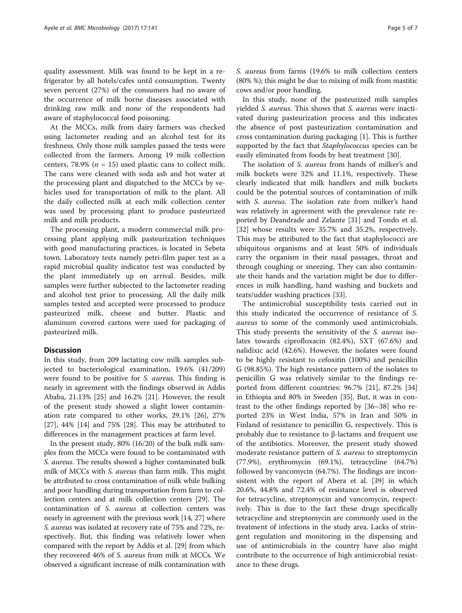quality assessment. Milk was found to be kept in a refrigerator by all hotels/cafes until consumption. Twenty seven percent (27%) of the consumers had no aware of the occurrence of milk borne diseases associated with drinking raw milk and none of the respondents had aware of staphylococcal food poisoning.

At the MCCs, milk from dairy farmers was checked using lactometer reading and an alcohol test for its freshness. Only those milk samples passed the tests were collected from the farmers. Among 19 milk collection centers, 78.9% ( $n = 15$ ) used plastic cans to collect milk. The cans were cleaned with soda ash and hot water at the processing plant and dispatched to the MCCs by vehicles used for transportation of milk to the plant. All the daily collected milk at each milk collection center was used by processing plant to produce pasteurized milk and milk products.

The processing plant, a modern commercial milk processing plant applying milk pasteurization techniques with good manufacturing practices, is located in Sebeta town. Laboratory tests namely petri-film paper test as a rapid microbial quality indicator test was conducted by the plant immediately up on arrival. Besides, milk samples were further subjected to the lactometer reading and alcohol test prior to processing. All the daily milk samples tested and accepted were processed to produce pasteurized milk, cheese and butter. Plastic and aluminum covered cartons were used for packaging of pasteurized milk.

# Discussion

In this study, from 209 lactating cow milk samples subjected to bacteriological examination, 19.6% (41/209) were found to be positive for S. aureus. This finding is nearly in agreement with the findings observed in Addis Ababa, 21.13% [\[25](#page-6-0)] and 16.2% [\[21](#page-6-0)]. However, the result of the present study showed a slight lower contamination rate compared to other works, 29.1% [[26](#page-6-0)], 27% [[27\]](#page-6-0), 44% [[14\]](#page-6-0) and 75% [[28](#page-6-0)]. This may be attributed to differences in the management practices at farm level.

In the present study, 80% (16/20) of the bulk milk samples from the MCCs were found to be contaminated with S. aureus. The results showed a higher contaminated bulk milk of MCCs with S. *aureus* than farm milk. This might be attributed to cross contamination of milk while bulking and poor handling during transportation from farm to collection centers and at milk collection centers [\[29\]](#page-6-0). The contamination of S. aureus at collection centers was nearly in agreement with the previous work [[14](#page-6-0), [27\]](#page-6-0) where S. aureus was isolated at recovery rate of 75% and 72%, respectively. But, this finding was relatively lower when compared with the report by Addis et al. [\[29\]](#page-6-0) from which they recovered 46% of S. aureus from milk at MCCs. We observed a significant increase of milk contamination with

S. aureus from farms (19.6% to milk collection centers (80% %); this might be due to mixing of milk from mastitic cows and/or poor handling.

In this study, none of the pasteurized milk samples yielded S. aureus. This shows that S. aureus were inactivated during pasteurization process and this indicates the absence of post pasteurization contamination and cross contamination during packaging [[1\]](#page-6-0). This is further supported by the fact that *Staphylococcus* species can be easily eliminated from foods by heat treatment [\[30](#page-6-0)].

The isolation of S. aureus from hands of milker's and milk buckets were 32% and 11.1%, respectively. These clearly indicated that milk handlers and milk buckets could be the potential sources of contamination of milk with *S. aureus*. The isolation rate from milker's hand was relatively in agreement with the prevalence rate reported by Deandrade and Zelante [\[31\]](#page-6-0) and Tondo et al. [[32\]](#page-6-0) whose results were 35.7% and 35.2%, respectively. This may be attributed to the fact that staphylococci are ubiquitous organisms and at least 50% of individuals carry the organism in their nasal passages, throat and through coughing or sneezing. They can also contaminate their hands and the variation might be due to differences in milk handling, hand washing and buckets and teats/udder washing practices [\[33](#page-6-0)].

The antimicrobial susceptibility tests carried out in this study indicated the occurrence of resistance of S. aureus to some of the commonly used antimicrobials. This study presents the sensitivity of the S. aureus isolates towards ciprofloxacin (82.4%), SXT (67.6%) and nalidixic acid (42.6%). However, the isolates were found to be highly resistant to cefoxitin (100%) and penicillin G (98.85%). The high resistance pattern of the isolates to penicillin G was relatively similar to the findings reported from different countries: 96.7% [[21\]](#page-6-0), 87.2% [[34](#page-6-0)] in Ethiopia and 80% in Sweden [[35\]](#page-6-0). But, it was in contrast to the other findings reported by [\[36](#page-6-0)–[38\]](#page-6-0) who reported 23% in West India, 57% in Iran and 50% in Finland of resistance to penicillin G, respectively. This is probably due to resistance to β-lactams and frequent use of the antibiotics. Moreover, the present study showed moderate resistance pattern of S. aureus to streptomycin (77.9%), erythromycin (69.1%), tetracycline (64.7%) followed by vancomycin (64.7%). The findings are inconsistent with the report of Abera et al. [\[39](#page-6-0)] in which 20.6%, 44.8% and 72.4% of resistance level is observed for tetracycline, streptomycin and vancomycin, respectively. This is due to the fact these drugs specifically tetracycline and streptomycin are commonly used in the treatment of infections in the study area. Lacks of stringent regulation and monitoring in the dispensing and use of antimicrobials in the country have also might contribute to the occurrence of high antimicrobial resistance to these drugs.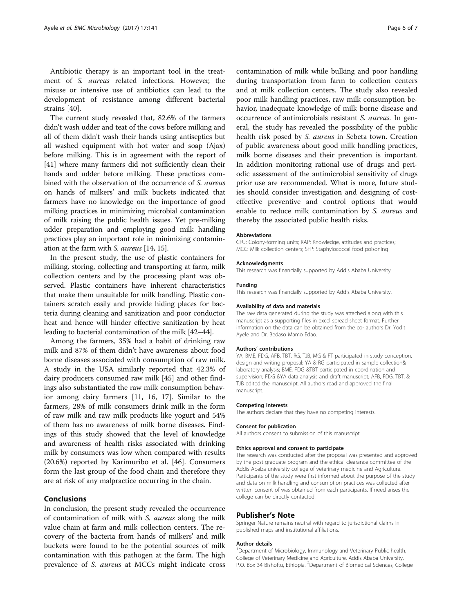Antibiotic therapy is an important tool in the treatment of S. aureus related infections. However, the misuse or intensive use of antibiotics can lead to the development of resistance among different bacterial strains [[40](#page-6-0)].

The current study revealed that, 82.6% of the farmers didn't wash udder and teat of the cows before milking and all of them didn't wash their hands using antiseptics but all washed equipment with hot water and soap (Ajax) before milking. This is in agreement with the report of [[41](#page-6-0)] where many farmers did not sufficiently clean their hands and udder before milking. These practices combined with the observation of the occurrence of S. aureus on hands of milkers' and milk buckets indicated that farmers have no knowledge on the importance of good milking practices in minimizing microbial contamination of milk raising the public health issues. Yet pre-milking udder preparation and employing good milk handling practices play an important role in minimizing contamination at the farm with S. aureus [\[14, 15](#page-6-0)].

In the present study, the use of plastic containers for milking, storing, collecting and transporting at farm, milk collection centers and by the processing plant was observed. Plastic containers have inherent characteristics that make them unsuitable for milk handling. Plastic containers scratch easily and provide hiding places for bacteria during cleaning and sanitization and poor conductor heat and hence will hinder effective sanitization by heat leading to bacterial contamination of the milk [\[42](#page-6-0)–[44](#page-6-0)].

Among the farmers, 35% had a habit of drinking raw milk and 87% of them didn't have awareness about food borne diseases associated with consumption of raw milk. A study in the USA similarly reported that 42.3% of dairy producers consumed raw milk [[45](#page-6-0)] and other findings also substantiated the raw milk consumption behavior among dairy farmers [[11, 16](#page-6-0), [17](#page-6-0)]. Similar to the farmers, 28% of milk consumers drink milk in the form of raw milk and raw milk products like yogurt and 54% of them has no awareness of milk borne diseases. Findings of this study showed that the level of knowledge and awareness of health risks associated with drinking milk by consumers was low when compared with results (20.6%) reported by Karimuribo et al. [[46](#page-6-0)]. Consumers form the last group of the food chain and therefore they are at risk of any malpractice occurring in the chain.

# Conclusions

In conclusion, the present study revealed the occurrence of contamination of milk with S. aureus along the milk value chain at farm and milk collection centers. The recovery of the bacteria from hands of milkers' and milk buckets were found to be the potential sources of milk contamination with this pathogen at the farm. The high prevalence of S. aureus at MCCs might indicate cross contamination of milk while bulking and poor handling during transportation from farm to collection centers and at milk collection centers. The study also revealed poor milk handling practices, raw milk consumption behavior, inadequate knowledge of milk borne disease and occurrence of antimicrobials resistant S. aureus. In general, the study has revealed the possibility of the public health risk posed by *S. aureus* in Sebeta town. Creation of public awareness about good milk handling practices, milk borne diseases and their prevention is important. In addition monitoring rational use of drugs and periodic assessment of the antimicrobial sensitivity of drugs prior use are recommended. What is more, future studies should consider investigation and designing of costeffective preventive and control options that would enable to reduce milk contamination by S. aureus and thereby the associated public health risks.

#### Abbreviations

CFU: Colony-forming units; KAP: Knowledge, attitudes and practices; MCC: Milk collection centers; SFP: Staphylococcal food poisoning

# Acknowledgments

This research was financially supported by Addis Ababa University.

#### Funding

This research was financially supported by Addis Ababa University.

## Availability of data and materials

The raw data generated during the study was attached along with this manuscript as a supporting files in excel spread sheet format. Further information on the data can be obtained from the co- authors Dr. Yodit Ayele and Dr. Bedaso Mamo Edao.

#### Authors' contributions

YA, BME, FDG, AFB, TBT, RG, TJB, MG & FT participated in study conception, design and writing proposal; YA & RG participated in sample collection& laboratory analysis; BME, FDG &TBT participated in coordination and supervision; FDG &YA data analysis and draft manuscript; AFB, FDG, TBT, & TJB edited the manuscript. All authors read and approved the final manuscript.

#### Competing interests

The authors declare that they have no competing interests.

# Consent for publication

All authors consent to submission of this manuscript.

### Ethics approval and consent to participate

The research was conducted after the proposal was presented and approved by the post graduate program and the ethical clearance committee of the Addis Ababa university college of veterinary medicine and Agriculture. Participants of the study were first informed about the purpose of the study and data on milk handling and consumption practices was collected after written consent of was obtained from each participants. If need arises the college can be directly contacted.

# Publisher's Note

Springer Nature remains neutral with regard to jurisdictional claims in published maps and institutional affiliations.

#### Author details

<sup>1</sup>Department of Microbiology, Immunology and Veterinary Public health College of Veterinary Medicine and Agriculture, Addis Ababa University, P.O. Box 34 Bishoftu, Ethiopia. <sup>2</sup>Department of Biomedical Sciences, College